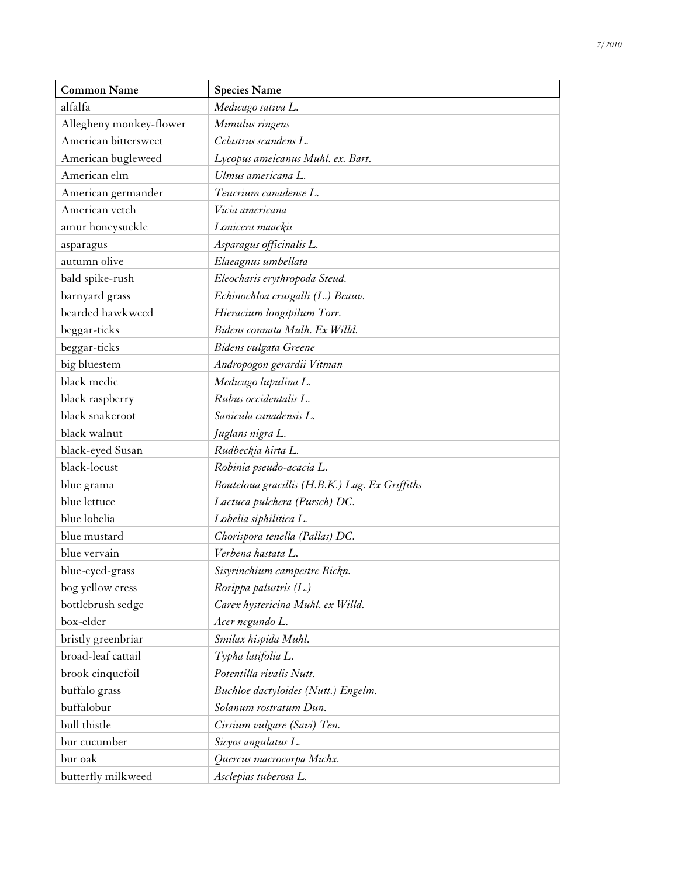| <b>Common Name</b>      | <b>Species Name</b>                            |
|-------------------------|------------------------------------------------|
| alfalfa                 | Medicago sativa L.                             |
| Allegheny monkey-flower | Mimulus ringens                                |
| American bittersweet    | Celastrus scandens L.                          |
| American bugleweed      | Lycopus ameicanus Muhl. ex. Bart.              |
| American elm            | Ulmus americana L.                             |
| American germander      | Teucrium canadense L.                          |
| American vetch          | Vicia americana                                |
| amur honeysuckle        | Lonicera maackii                               |
| asparagus               | Asparagus officinalis L.                       |
| autumn olive            | Elaeagnus umbellata                            |
| bald spike-rush         | Eleocharis erythropoda Steud.                  |
| barnyard grass          | Echinochloa crusgalli (L.) Beauv.              |
| bearded hawkweed        | Hieracium longipilum Torr.                     |
| beggar-ticks            | Bidens connata Mulh. Ex Willd.                 |
| beggar-ticks            | Bidens vulgata Greene                          |
| big bluestem            | Andropogon gerardii Vitman                     |
| black medic             | Medicago lupulina L.                           |
| black raspberry         | Rubus occidentalis L.                          |
| black snakeroot         | Sanicula canadensis L.                         |
| black walnut            | Juglans nigra L.                               |
| black-eyed Susan        | Rudbeckia hirta L.                             |
| black-locust            | Robinia pseudo-acacia L.                       |
| blue grama              | Bouteloua gracillis (H.B.K.) Lag. Ex Griffiths |
| blue lettuce            | Lactuca pulchera (Pursch) DC.                  |
| blue lobelia            | Lobelia siphilitica L.                         |
| blue mustard            | Chorispora tenella (Pallas) DC.                |
| blue vervain            | Verbena hastata L.                             |
| blue-eyed-grass         | Sisyrinchium campestre Bickn.                  |
| bog yellow cress        | Rorippa palustris (L.)                         |
| bottlebrush sedge       | Carex hystericina Muhl. ex Willd.              |
| box-elder               | Acer negundo L.                                |
| bristly greenbriar      | Smilax hispida Muhl.                           |
| broad-leaf cattail      | Typha latifolia L.                             |
| brook cinquefoil        | Potentilla rivalis Nutt.                       |
| buffalo grass           | Buchloe dactyloides (Nutt.) Engelm.            |
| buffalobur              | Solanum rostratum Dun.                         |
| bull thistle            | Cirsium vulgare (Savi) Ten.                    |
| bur cucumber            | Sicyos angulatus L.                            |
| bur oak                 | Quercus macrocarpa Michx.                      |
| butterfly milkweed      | Asclepias tuberosa L.                          |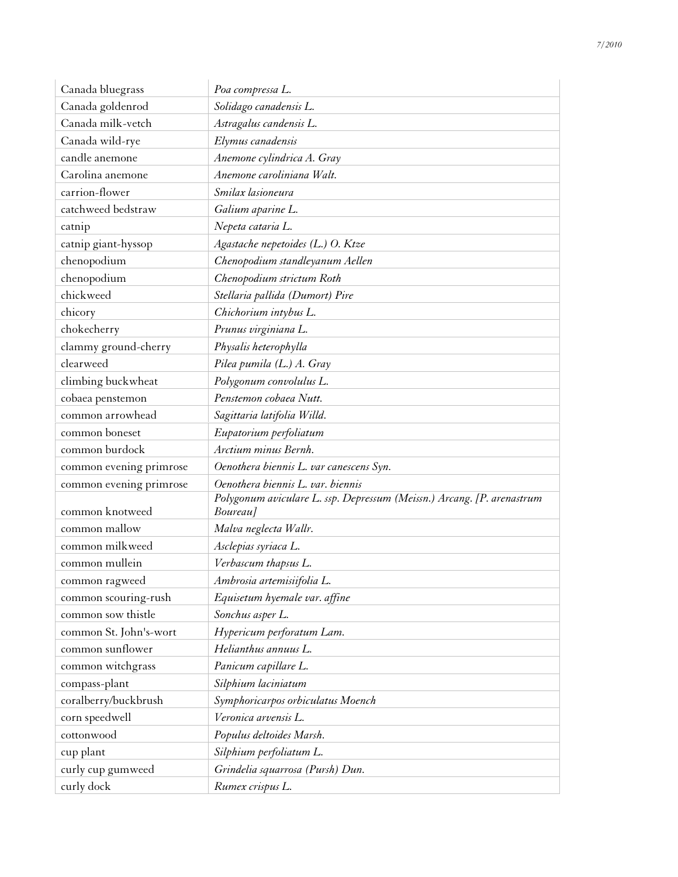| Canada bluegrass        | Poa compressa L.                                                                   |
|-------------------------|------------------------------------------------------------------------------------|
| Canada goldenrod        | Solidago canadensis L.                                                             |
| Canada milk-vetch       | Astragalus candensis L.                                                            |
| Canada wild-rye         | Elymus canadensis                                                                  |
| candle anemone          | Anemone cylindrica A. Gray                                                         |
| Carolina anemone        | Anemone caroliniana Walt.                                                          |
| carrion-flower          | Smilax lasioneura                                                                  |
| catchweed bedstraw      | Galium aparine L.                                                                  |
| catnip                  | Nepeta cataria L.                                                                  |
| catnip giant-hyssop     | Agastache nepetoides (L.) O. Ktze                                                  |
| chenopodium             | Chenopodium standleyanum Aellen                                                    |
| chenopodium             | Chenopodium strictum Roth                                                          |
| chickweed               | Stellaria pallida (Dumort) Pire                                                    |
| chicory                 | Chichorium intybus L.                                                              |
| chokecherry             | Prunus virginiana L.                                                               |
| clammy ground-cherry    | Physalis heterophylla                                                              |
| clearweed               | Pilea pumila (L.) A. Gray                                                          |
| climbing buckwheat      | Polygonum convolulus L.                                                            |
| cobaea penstemon        | Penstemon cobaea Nutt.                                                             |
| common arrowhead        | Sagittaria latifolia Willd.                                                        |
| common boneset          | Eupatorium perfoliatum                                                             |
| common burdock          | Arctium minus Bernh.                                                               |
| common evening primrose | Oenothera biennis L. var canescens Syn.                                            |
| common evening primrose | Oenothera biennis L. var. biennis                                                  |
| common knotweed         | Polygonum aviculare L. ssp. Depressum (Meissn.) Arcang. [P. arenastrum<br>Boureau] |
| common mallow           | Malva neglecta Wallr.                                                              |
| common milkweed         | Asclepias syriaca L.                                                               |
| common mullein          | Verbascum thapsus L.                                                               |
| common ragweed          | Ambrosia artemisiifolia L.                                                         |
| common scouring-rush    | Equisetum hyemale var. affine                                                      |
| common sow thistle      | Sonchus asper L.                                                                   |
| common St. John's-wort  | Hypericum perforatum Lam.                                                          |
| common sunflower        | Helianthus annuus L.                                                               |
| common witchgrass       | Panicum capillare L.                                                               |
| compass-plant           | Silphium laciniatum                                                                |
| coralberry/buckbrush    | Symphoricarpos orbiculatus Moench                                                  |
| corn speedwell          | Veronica arvensis L.                                                               |
| cottonwood              | Populus deltoides Marsh.                                                           |
| cup plant               | Silphium perfoliatum L.                                                            |
| curly cup gumweed       | Grindelia squarrosa (Pursh) Dun.                                                   |
| curly dock              | Rumex crispus L.                                                                   |
|                         |                                                                                    |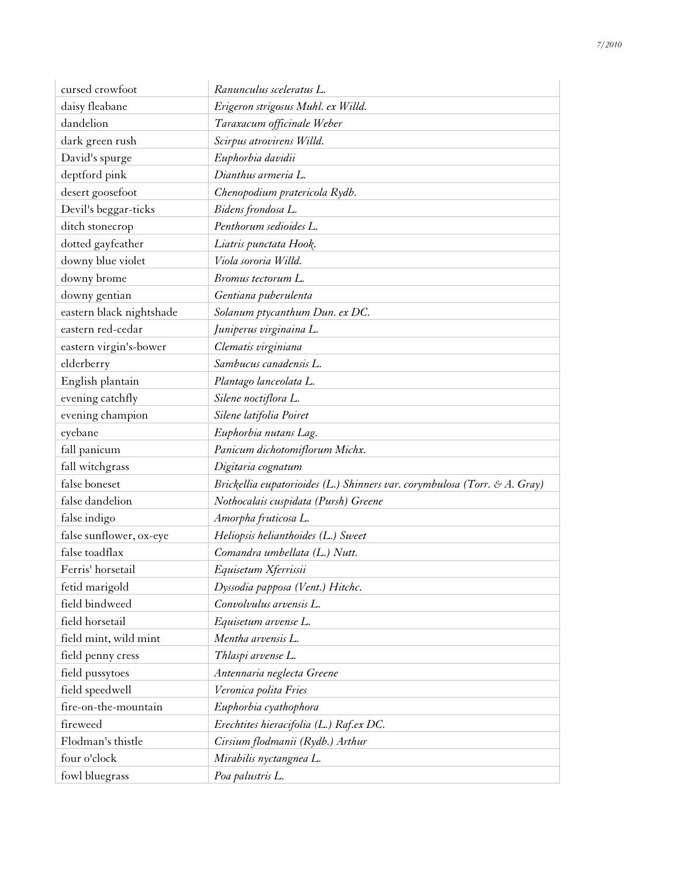| cursed crowfoot          | Ranunculus sceleratus L.                                                  |
|--------------------------|---------------------------------------------------------------------------|
| daisy fleabane           | Erigeron strigosus Muhl. ex Willd.                                        |
| dandelion                | Taraxacum officinale Weber                                                |
| dark green rush          | Scirpus atrovirens Willd.                                                 |
| David's spurge           | Euphorbia davidii                                                         |
| deptford pink            | Dianthus armeria L.                                                       |
| desert goosefoot         | Chenopodium pratericola Rydb.                                             |
| Devil's beggar-ticks     | Bidens frondosa L.                                                        |
| ditch stonecrop          | Penthorum sedioides L.                                                    |
| dotted gayfeather        | Liatris punctata Hook.                                                    |
| downy blue violet        | Viola sororia Willd.                                                      |
| downy brome              | Bromus tectorum L.                                                        |
| downy gentian            | Gentiana puberulenta                                                      |
| eastern black nightshade | Solanum ptycanthum Dun. ex DC.                                            |
| eastern red-cedar        | Juniperus virginaina L.                                                   |
| eastern virgin's-bower   | Clematis virginiana                                                       |
| elderberry               | Sambucus canadensis L.                                                    |
| English plantain         | Plantago lanceolata L.                                                    |
| evening catchfly         | Silene noctiflora L.                                                      |
| evening champion         | Silene latifolia Poiret                                                   |
| eyebane                  | Euphorbia nutans Lag.                                                     |
| fall panicum             | Panicum dichotomiflorum Michx.                                            |
| fall witchgrass          | Digitaria cognatum                                                        |
| false boneset            | Brickellia eupatorioides (L.) Shinners var. corymbulosa (Torr. & A. Gray) |
| false dandelion          | Nothocalais cuspidata (Pursh) Greene                                      |
| false indigo             | Amorpha fruticosa L.                                                      |
| false sunflower, ox-eye  | Heliopsis helianthoides (L.) Sweet                                        |
| false toadflax           | Comandra umbellata (L.) Nutt.                                             |
| Ferris' horsetail        | Equisetum Xferrissii                                                      |
| fetid marigold           | Dyssodia papposa (Vent.) Hitchc.                                          |
| field bindweed           | Convolvulus arvensis L.                                                   |
| field horsetail          | Equisetum arvense L.                                                      |
| field mint, wild mint    | Mentha arvensis L.                                                        |
| field penny cress        | Thlaspi arvense L.                                                        |
| field pussytoes          | Antennaria neglecta Greene                                                |
| field speedwell          | Veronica polita Fries                                                     |
| fire-on-the-mountain     | Euphorbia cyathophora                                                     |
| fireweed                 | Erechtites hieracifolia (L.) Raf.ex DC.                                   |
| Flodman's thistle        | Cirsium flodmanii (Rydb.) Arthur                                          |
| four o'clock             | Mirabilis nyctangnea L.                                                   |
| fowl bluegrass           | Poa palustris L.                                                          |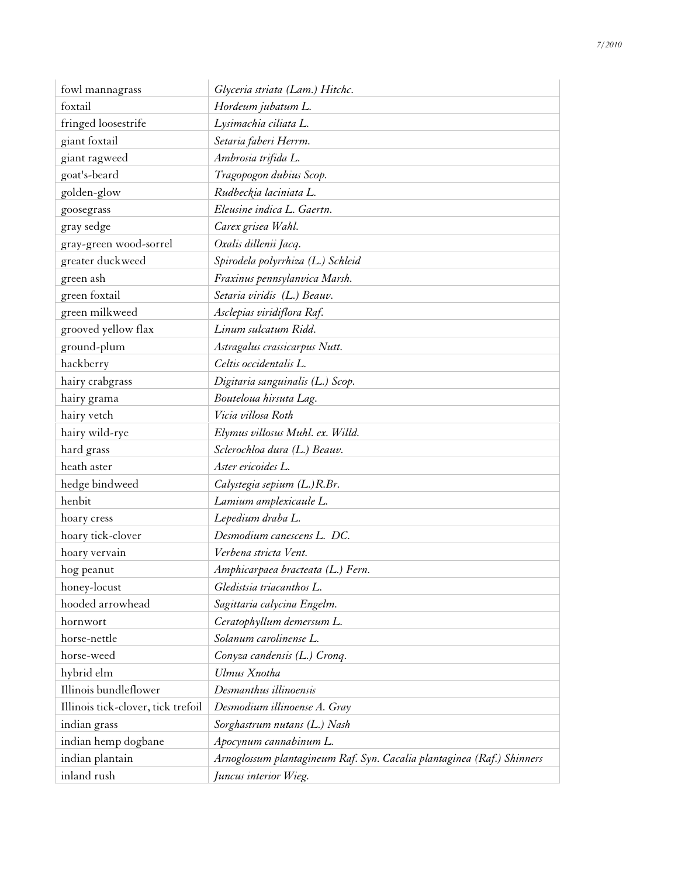| fowl mannagrass                    | Glyceria striata (Lam.) Hitchc.                                        |
|------------------------------------|------------------------------------------------------------------------|
| foxtail                            | Hordeum jubatum L.                                                     |
| fringed loosestrife                | Lysimachia ciliata L.                                                  |
| giant foxtail                      | Setaria faberi Herrm.                                                  |
| giant ragweed                      | Ambrosia trifida L.                                                    |
| goat's-beard                       | Tragopogon dubius Scop.                                                |
| golden-glow                        | Rudbeckia laciniata L.                                                 |
| goosegrass                         | Eleusine indica L. Gaertn.                                             |
| gray sedge                         | Carex grisea Wahl.                                                     |
| gray-green wood-sorrel             | Oxalis dillenii Jacq.                                                  |
| greater duckweed                   | Spirodela polyrrhiza (L.) Schleid                                      |
| green ash                          | Fraxinus pennsylanvica Marsh.                                          |
| green foxtail                      | Setaria viridis (L.) Beauv.                                            |
| green milkweed                     | Asclepias viridiflora Raf.                                             |
| grooved yellow flax                | Linum sulcatum Ridd.                                                   |
| ground-plum                        | Astragalus crassicarpus Nutt.                                          |
| hackberry                          | Celtis occidentalis L.                                                 |
| hairy crabgrass                    | Digitaria sanguinalis (L.) Scop.                                       |
| hairy grama                        | Bouteloua hirsuta Lag.                                                 |
| hairy vetch                        | Vicia villosa Roth                                                     |
| hairy wild-rye                     | Elymus villosus Muhl. ex. Willd.                                       |
| hard grass                         | Sclerochloa dura (L.) Beauv.                                           |
| heath aster                        | Aster ericoides L.                                                     |
| hedge bindweed                     | Calystegia sepium (L.)R.Br.                                            |
| henbit                             | Lamium amplexicaule L.                                                 |
| hoary cress                        | Lepedium draba L.                                                      |
| hoary tick-clover                  | Desmodium canescens L. DC.                                             |
| hoary vervain                      | Verbena stricta Vent.                                                  |
| hog peanut                         | Amphicarpaea bracteata (L.) Fern.                                      |
| honey-locust                       | Gledistsia triacanthos L.                                              |
| hooded arrowhead                   | Sagittaria calycina Engelm.                                            |
| hornwort                           | Ceratophyllum demersum L.                                              |
| horse-nettle                       | Solanum carolinense L.                                                 |
| horse-weed                         | Conyza candensis (L.) Cronq.                                           |
| hybrid elm                         | Ulmus Xnotha                                                           |
| Illinois bundleflower              | Desmanthus illinoensis                                                 |
| Illinois tick-clover, tick trefoil | Desmodium illinoense A. Gray                                           |
| indian grass                       | Sorghastrum nutans (L.) Nash                                           |
| indian hemp dogbane                | Apocynum cannabinum L.                                                 |
| indian plantain                    | Arnoglossum plantagineum Raf. Syn. Cacalia plantaginea (Raf.) Shinners |
| inland rush                        | Juncus interior Wieg.                                                  |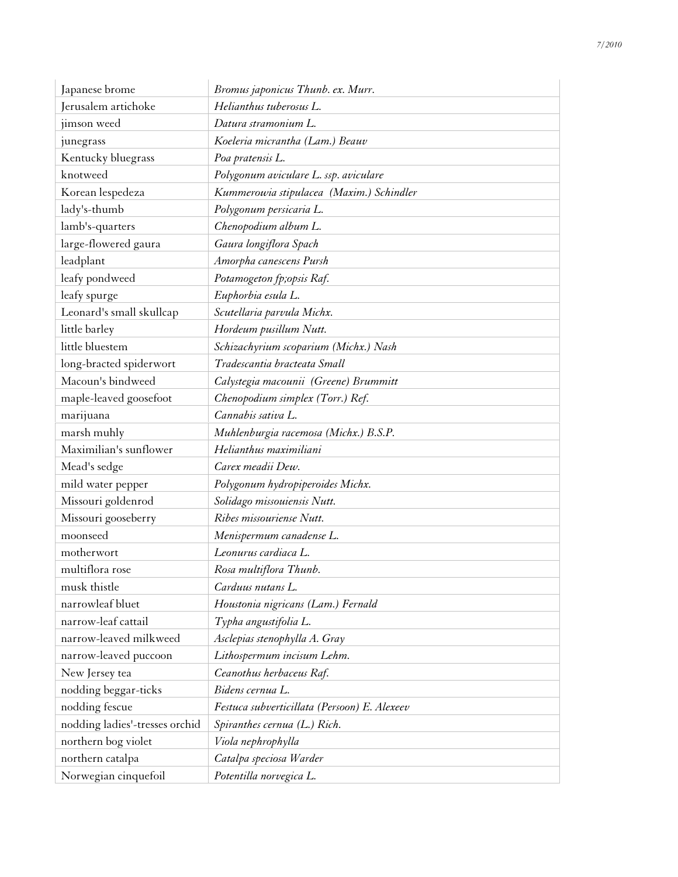| Japanese brome                 | Bromus japonicus Thunb. ex. Murr.            |
|--------------------------------|----------------------------------------------|
| Jerusalem artichoke            | Helianthus tuberosus L.                      |
| jimson weed                    | Datura stramonium L.                         |
| junegrass                      | Koeleria micrantha (Lam.) Beauv              |
| Kentucky bluegrass             | Poa pratensis L.                             |
| knotweed                       | Polygonum aviculare L. ssp. aviculare        |
| Korean lespedeza               | Kummerowia stipulacea (Maxim.) Schindler     |
| lady's-thumb                   | Polygonum persicaria L.                      |
| lamb's-quarters                | Chenopodium album L.                         |
| large-flowered gaura           | Gaura longiflora Spach                       |
| leadplant                      | Amorpha canescens Pursh                      |
| leafy pondweed                 | Potamogeton fp;opsis Raf.                    |
| leafy spurge                   | Euphorbia esula L.                           |
| Leonard's small skullcap       | Scutellaria parvula Michx.                   |
| little barley                  | Hordeum pusillum Nutt.                       |
| little bluestem                | Schizachyrium scoparium (Michx.) Nash        |
| long-bracted spiderwort        | Tradescantia bracteata Small                 |
| Macoun's bindweed              | Calystegia macounii (Greene) Brummitt        |
| maple-leaved goosefoot         | Chenopodium simplex (Torr.) Ref.             |
| marijuana                      | Cannabis sativa L.                           |
| marsh muhly                    | Muhlenburgia racemosa (Michx.) B.S.P.        |
| Maximilian's sunflower         | Helianthus maximiliani                       |
| Mead's sedge                   | Carex meadii Dew.                            |
| mild water pepper              | Polygonum hydropiperoides Michx.             |
| Missouri goldenrod             | Solidago missouiensis Nutt.                  |
| Missouri gooseberry            | Ribes missouriense Nutt.                     |
| moonseed                       | Menispermum canadense L.                     |
| motherwort                     | Leonurus cardiaca L.                         |
| multiflora rose                | Rosa multiflora Thunb.                       |
| musk thistle                   | Carduus nutans L.                            |
| narrowleaf bluet               | Houstonia nigricans (Lam.) Fernald           |
| narrow-leaf cattail            | Typha angustifolia L.                        |
| narrow-leaved milkweed         | Asclepias stenophylla A. Gray                |
| narrow-leaved puccoon          | Lithospermum incisum Lehm.                   |
| New Jersey tea                 | Ceanothus herbaceus Raf.                     |
| nodding beggar-ticks           | Bidens cernua L.                             |
| nodding fescue                 | Festuca subverticillata (Persoon) E. Alexeev |
| nodding ladies'-tresses orchid | Spiranthes cernua (L.) Rich.                 |
| northern bog violet            | Viola nephrophylla                           |
| northern catalpa               | Catalpa speciosa Warder                      |
| Norwegian cinquefoil           | Potentilla norvegica L.                      |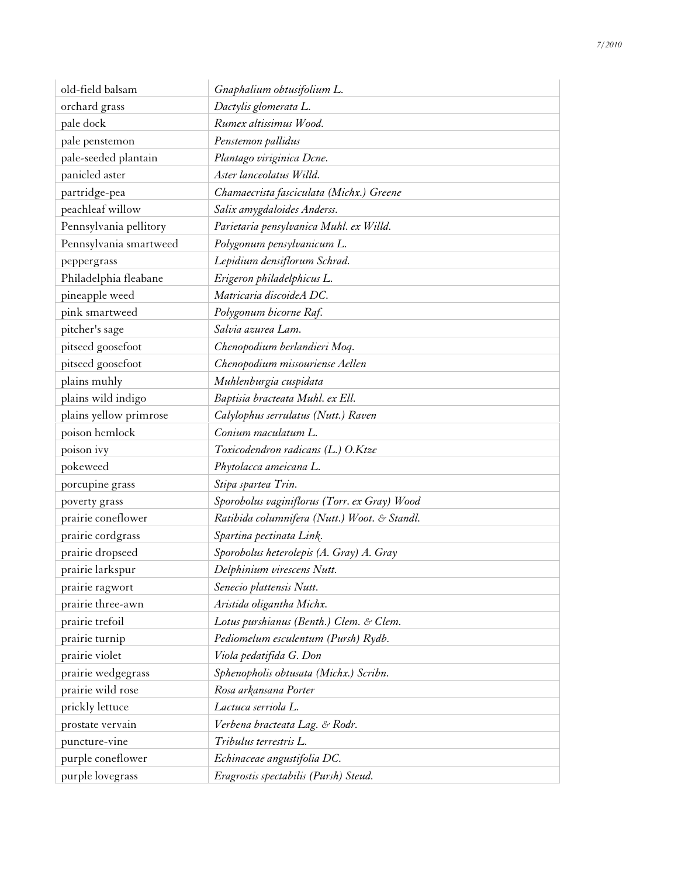| old-field balsam       | Gnaphalium obtusifolium L.                   |
|------------------------|----------------------------------------------|
| orchard grass          | Dactylis glomerata L.                        |
| pale dock              | Rumex altissimus Wood.                       |
| pale penstemon         | Penstemon pallidus                           |
| pale-seeded plantain   | Plantago viriginica Dcne.                    |
| panicled aster         | Aster lanceolatus Willd.                     |
| partridge-pea          | Chamaecrista fasciculata (Michx.) Greene     |
| peachleaf willow       | Salix amygdaloides Anderss.                  |
| Pennsylvania pellitory | Parietaria pensylvanica Muhl. ex Willd.      |
| Pennsylvania smartweed | Polygonum pensylvanicum L.                   |
| peppergrass            | Lepidium densiflorum Schrad.                 |
| Philadelphia fleabane  | Erigeron philadelphicus L.                   |
| pineapple weed         | Matricaria discoideA DC.                     |
| pink smartweed         | Polygonum bicorne Raf.                       |
| pitcher's sage         | Salvia azurea Lam.                           |
| pitseed goosefoot      | Chenopodium berlandieri Moq.                 |
| pitseed goosefoot      | Chenopodium missouriense Aellen              |
| plains muhly           | Muhlenburgia cuspidata                       |
| plains wild indigo     | Baptisia bracteata Muhl. ex Ell.             |
| plains yellow primrose | Calylophus serrulatus (Nutt.) Raven          |
| poison hemlock         | Conium maculatum L.                          |
| poison ivy             | Toxicodendron radicans (L.) O.Ktze           |
| pokeweed               | Phytolacca ameicana L.                       |
| porcupine grass        | Stipa spartea Trin.                          |
| poverty grass          | Sporobolus vaginiflorus (Torr. ex Gray) Wood |
| prairie coneflower     | Ratibida columnifera (Nutt.) Woot. & Standl. |
| prairie cordgrass      | Spartina pectinata Link.                     |
| prairie dropseed       | Sporobolus heterolepis (A. Gray) A. Gray     |
| prairie larkspur       | Delphinium virescens Nutt.                   |
| prairie ragwort        | Senecio plattensis Nutt.                     |
| prairie three-awn      | Aristida oligantha Michx.                    |
| prairie trefoil        | Lotus purshianus (Benth.) Clem. & Clem.      |
| prairie turnip         | Pediomelum esculentum (Pursh) Rydb.          |
| prairie violet         | Viola pedatifida G. Don                      |
| prairie wedgegrass     | Sphenopholis obtusata (Michx.) Scribn.       |
| prairie wild rose      | Rosa arkansana Porter                        |
| prickly lettuce        | Lactuca serriola L.                          |
| prostate vervain       | Verbena bracteata Lag. & Rodr.               |
| puncture-vine          | Tribulus terrestris L.                       |
| purple coneflower      | Echinaceae angustifolia DC.                  |
| purple lovegrass       | Eragrostis spectabilis (Pursh) Steud.        |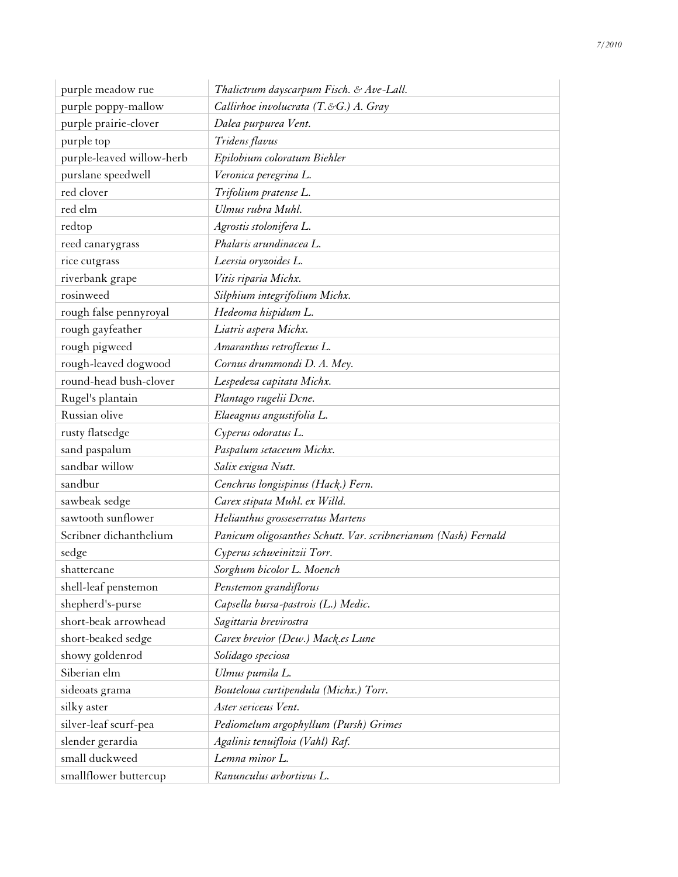| purple meadow rue         | Thalictrum dayscarpum Fisch. & Ave-Lall.                       |
|---------------------------|----------------------------------------------------------------|
| purple poppy-mallow       | Callirhoe involucrata $(T.\&G.)$ A. Gray                       |
| purple prairie-clover     | Dalea purpurea Vent.                                           |
| purple top                | Tridens flavus                                                 |
| purple-leaved willow-herb | Epilobium coloratum Biehler                                    |
| purslane speedwell        | Veronica peregrina L.                                          |
| red clover                | Trifolium pratense L.                                          |
| red elm                   | Ulmus rubra Muhl.                                              |
| redtop                    | Agrostis stolonifera L.                                        |
| reed canarygrass          | Phalaris arundinacea L.                                        |
| rice cutgrass             | Leersia oryzoides L.                                           |
| riverbank grape           | Vitis riparia Michx.                                           |
| rosinweed                 | Silphium integrifolium Michx.                                  |
| rough false pennyroyal    | Hedeoma hispidum L.                                            |
| rough gayfeather          | Liatris aspera Michx.                                          |
| rough pigweed             | Amaranthus retroflexus L.                                      |
| rough-leaved dogwood      | Cornus drummondi D. A. Mey.                                    |
| round-head bush-clover    | Lespedeza capitata Michx.                                      |
| Rugel's plantain          | Plantago rugelii Dcne.                                         |
| Russian olive             | Elaeagnus angustifolia L.                                      |
| rusty flatsedge           | Cyperus odoratus L.                                            |
| sand paspalum             | Paspalum setaceum Michx.                                       |
| sandbar willow            | Salix exigua Nutt.                                             |
| sandbur                   | Cenchrus longispinus (Hack.) Fern.                             |
| sawbeak sedge             | Carex stipata Muhl. ex Willd.                                  |
| sawtooth sunflower        | Helianthus grosseserratus Martens                              |
| Scribner dichanthelium    | Panicum oligosanthes Schutt. Var. scribnerianum (Nash) Fernald |
| sedge                     | Cyperus schweinitzii Torr.                                     |
| shattercane               | Sorghum bicolor L. Moench                                      |
| shell-leaf penstemon      | Penstemon grandiflorus                                         |
| shepherd's-purse          | Capsella bursa-pastrois (L.) Medic.                            |
| short-beak arrowhead      | Sagittaria brevirostra                                         |
| short-beaked sedge        | Carex brevior (Dew.) Mack.es Lune                              |
| showy goldenrod           | Solidago speciosa                                              |
| Siberian elm              | Ulmus pumila L.                                                |
| sideoats grama            | Bouteloua curtipendula (Michx.) Torr.                          |
| silky aster               | Aster sericeus Vent.                                           |
| silver-leaf scurf-pea     | Pediomelum argophyllum (Pursh) Grimes                          |
| slender gerardia          | Agalinis tenuifloia (Vahl) Raf.                                |
| small duckweed            | Lemna minor L.                                                 |
| smallflower buttercup     | Ranunculus arbortivus L.                                       |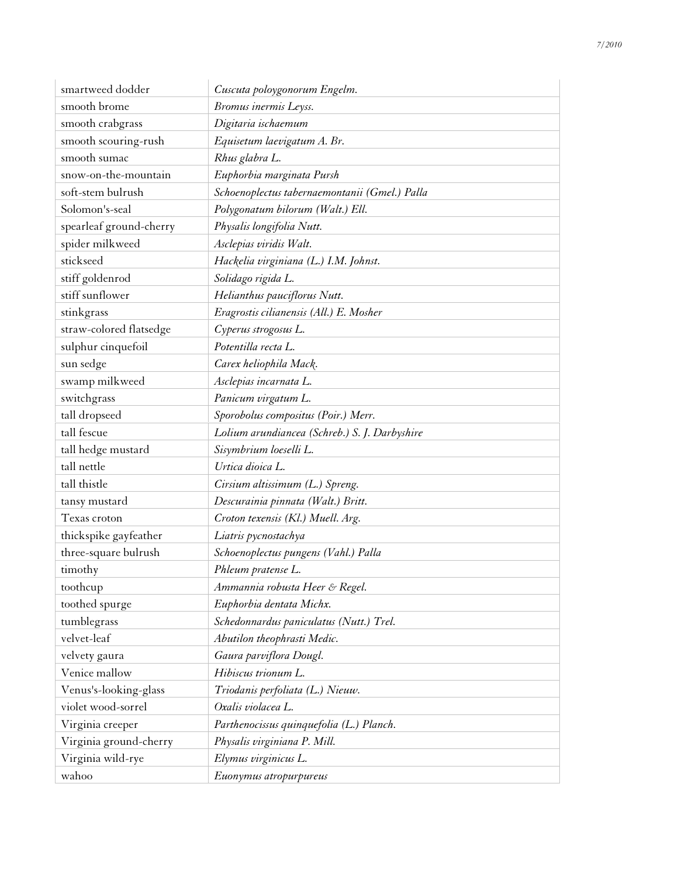| smartweed dodder        | Cuscuta poloygonorum Engelm.                  |
|-------------------------|-----------------------------------------------|
| smooth brome            | Bromus inermis Leyss.                         |
| smooth crabgrass        | Digitaria ischaemum                           |
| smooth scouring-rush    | Equisetum laevigatum A. Br.                   |
| smooth sumac            | Rhus glabra L.                                |
| snow-on-the-mountain    | Euphorbia marginata Pursh                     |
| soft-stem bulrush       | Schoenoplectus tabernaemontanii (Gmel.) Palla |
| Solomon's-seal          | Polygonatum bilorum (Walt.) Ell.              |
| spearleaf ground-cherry | Physalis longifolia Nutt.                     |
| spider milkweed         | Asclepias viridis Walt.                       |
| stickseed               | Hackelia virginiana (L.) I.M. Johnst.         |
| stiff goldenrod         | Solidago rigida L.                            |
| stiff sunflower         | Helianthus pauciflorus Nutt.                  |
| stinkgrass              | Eragrostis cilianensis (All.) E. Mosher       |
| straw-colored flatsedge | Cyperus strogosus L.                          |
| sulphur cinquefoil      | Potentilla recta L.                           |
| sun sedge               | Carex heliophila Mack.                        |
| swamp milkweed          | Asclepias incarnata L.                        |
| switchgrass             | Panicum virgatum L.                           |
| tall dropseed           | Sporobolus compositus (Poir.) Merr.           |
| tall fescue             | Lolium arundiancea (Schreb.) S. J. Darbyshire |
| tall hedge mustard      | Sisymbrium loeselli L.                        |
| tall nettle             | Urtica dioica L.                              |
| tall thistle            | Cirsium altissimum (L.) Spreng.               |
| tansy mustard           | Descurainia pinnata (Walt.) Britt.            |
| Texas croton            | Croton texensis (Kl.) Muell. Arg.             |
| thickspike gayfeather   | Liatris pycnostachya                          |
| three-square bulrush    | Schoenoplectus pungens (Vahl.) Palla          |
| timothy                 | Phleum pratense L.                            |
| toothcup                | Ammannia robusta Heer & Regel.                |
| toothed spurge          | Euphorbia dentata Michx.                      |
| tumblegrass             | Schedonnardus paniculatus (Nutt.) Trel.       |
| velvet-leaf             | Abutilon theophrasti Medic.                   |
| velvety gaura           | Gaura parviflora Dougl.                       |
| Venice mallow           | Hibiscus trionum L.                           |
| Venus's-looking-glass   | Triodanis perfoliata (L.) Nieuw.              |
| violet wood-sorrel      | Oxalis violacea L.                            |
| Virginia creeper        | Parthenocissus quinquefolia (L.) Planch.      |
| Virginia ground-cherry  | Physalis virginiana P. Mill.                  |
| Virginia wild-rye       | Elymus virginicus L.                          |
| wahoo                   | Euonymus atropurpureus                        |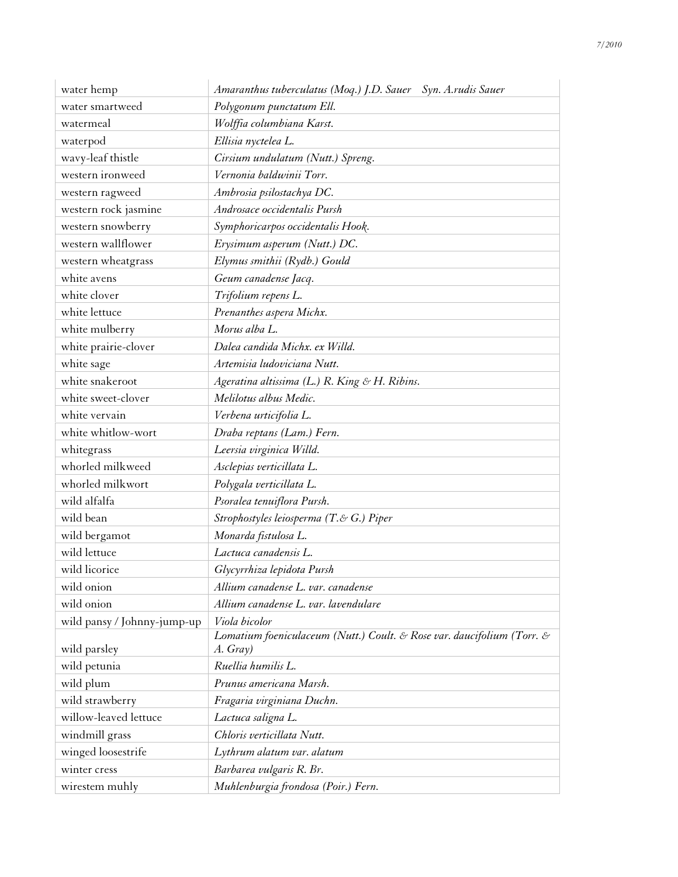| water hemp                  | Amaranthus tuberculatus (Moq.) J.D. Sauer Syn. A.rudis Sauer           |
|-----------------------------|------------------------------------------------------------------------|
| water smartweed             | Polygonum punctatum Ell.                                               |
| watermeal                   | Wolffia columbiana Karst.                                              |
| waterpod                    | Ellisia nyctelea L.                                                    |
| wavy-leaf thistle           | Cirsium undulatum (Nutt.) Spreng.                                      |
| western ironweed            | Vernonia baldwinii Torr.                                               |
| western ragweed             | Ambrosia psilostachya DC.                                              |
| western rock jasmine        | Androsace occidentalis Pursh                                           |
| western snowberry           | Symphoricarpos occidentalis Hook.                                      |
| western wallflower          | Erysimum asperum (Nutt.) DC.                                           |
| western wheatgrass          | Elymus smithii (Rydb.) Gould                                           |
| white avens                 | Geum canadense Jacq.                                                   |
| white clover                | Trifolium repens L.                                                    |
| white lettuce               | Prenanthes aspera Michx.                                               |
| white mulberry              | Morus alba L.                                                          |
| white prairie-clover        | Dalea candida Michx. ex Willd.                                         |
| white sage                  | Artemisia ludoviciana Nutt.                                            |
| white snakeroot             | Ageratina altissima (L.) R. King & H. Ribins.                          |
| white sweet-clover          | Melilotus albus Medic.                                                 |
| white vervain               | Verbena urticifolia L.                                                 |
| white whitlow-wort          | Draba reptans (Lam.) Fern.                                             |
| whitegrass                  | Leersia virginica Willd.                                               |
| whorled milkweed            | Asclepias verticillata L.                                              |
| whorled milkwort            | Polygala verticillata L.                                               |
| wild alfalfa                | Psoralea tenuiflora Pursh.                                             |
| wild bean                   | Strophostyles leiosperma (T.& G.) Piper                                |
| wild bergamot               | Monarda fistulosa L.                                                   |
| wild lettuce                | Lactuca canadensis L.                                                  |
| wild licorice               | Glycyrrhiza lepidota Pursh                                             |
| wild onion                  | Allium canadense L. var. canadense                                     |
| wild onion                  | Allium canadense L. var. lavendulare                                   |
| wild pansy / Johnny-jump-up | Viola bicolor                                                          |
|                             | Lomatium foeniculaceum (Nutt.) Coult. & Rose var. daucifolium (Torr. & |
| wild parsley                | A. Gray)                                                               |
| wild petunia                | Ruellia humilis L.                                                     |
| wild plum                   | Prunus americana Marsh.                                                |
| wild strawberry             | Fragaria virginiana Duchn.                                             |
| willow-leaved lettuce       | Lactuca saligna L.                                                     |
| windmill grass              | Chloris verticillata Nutt.                                             |
| winged loosestrife          | Lythrum alatum var. alatum                                             |
| winter cress                | Barbarea vulgaris R. Br.                                               |
| wirestem muhly              | Muhlenburgia frondosa (Poir.) Fern.                                    |